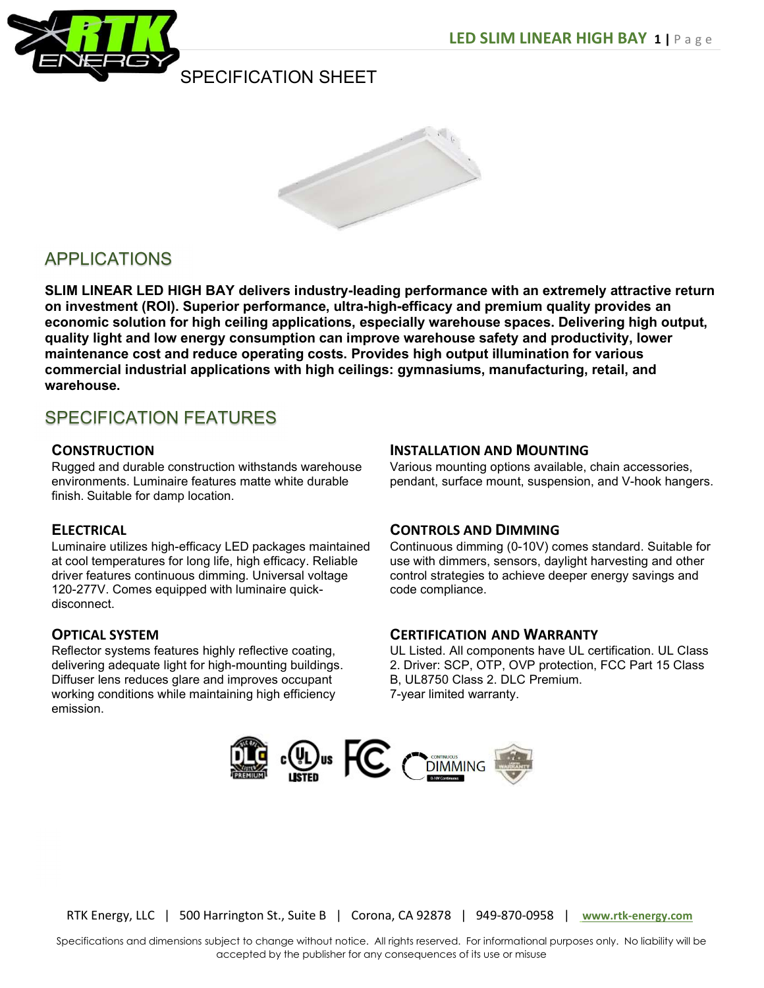



# APPLICATIONS

SLIM LINEAR LED HIGH BAY delivers industry-leading performance with an extremely attractive return on investment (ROI). Superior performance, ultra-high-efficacy and premium quality provides an economic solution for high ceiling applications, especially warehouse spaces. Delivering high output, quality light and low energy consumption can improve warehouse safety and productivity, lower maintenance cost and reduce operating costs. Provides high output illumination for various commercial industrial applications with high ceilings: gymnasiums, manufacturing, retail, and warehouse.

# SPECIFICATION FEATURES

### **CONSTRUCTION**

Rugged and durable construction withstands warehouse environments. Luminaire features matte white durable finish. Suitable for damp location.

## **ELECTRICAL**

Luminaire utilizes high-efficacy LED packages maintained at cool temperatures for long life, high efficacy. Reliable driver features continuous dimming. Universal voltage 120-277V. Comes equipped with luminaire quickdisconnect.

## OPTICAL SYSTEM

Reflector systems features highly reflective coating, delivering adequate light for high-mounting buildings. Diffuser lens reduces glare and improves occupant working conditions while maintaining high efficiency emission.

### INSTALLATION AND MOUNTING

Various mounting options available, chain accessories, pendant, surface mount, suspension, and V-hook hangers.

## CONTROLS AND DIMMING

Continuous dimming (0-10V) comes standard. Suitable for use with dimmers, sensors, daylight harvesting and other control strategies to achieve deeper energy savings and code compliance.

### CERTIFICATION AND WARRANTY

UL Listed. All components have UL certification. UL Class 2. Driver: SCP, OTP, OVP protection, FCC Part 15 Class B, UL8750 Class 2. DLC Premium. 7-year limited warranty.



RTK Energy, LLC | 500 Harrington St., Suite B | Corona, CA 92878 | 949-870-0958 | www.rtk-energy.com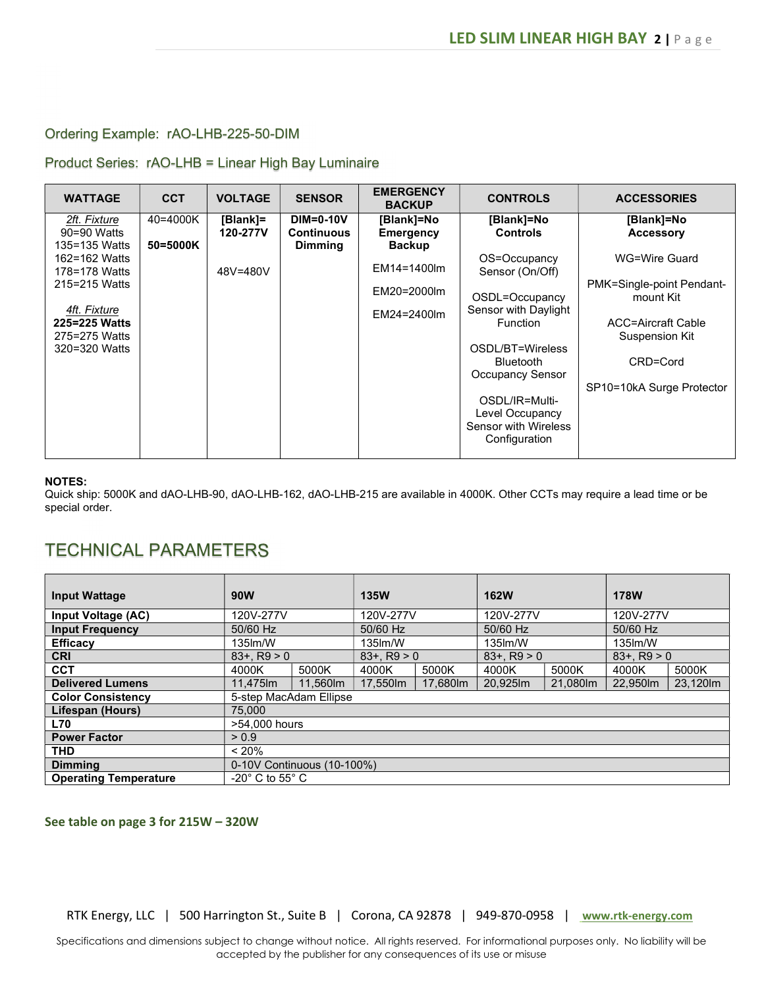### Ordering Example: rAO-LHB-225-50-DIM

Product Series: rAO-LHB = Linear High Bay Luminaire

| <b>WATTAGE</b> | <b>CCT</b> | <b>VOLTAGE</b> | <b>SENSOR</b>     | <b>EMERGENCY</b><br><b>BACKUP</b> | <b>CONTROLS</b>      | <b>ACCESSORIES</b>        |
|----------------|------------|----------------|-------------------|-----------------------------------|----------------------|---------------------------|
| 2ft. Fixture   | 40=4000K   | [Blank]=       | $DIM=0-10V$       | [Blank]=No                        | [Blank]=No           | [Blank]=No                |
| 90=90 Watts    |            | 120-277V       | <b>Continuous</b> | <b>Emergency</b>                  | <b>Controls</b>      | <b>Accessory</b>          |
| 135=135 Watts  | 50=5000K   |                | <b>Dimming</b>    | <b>Backup</b>                     |                      |                           |
| 162=162 Watts  |            |                |                   |                                   | OS=Occupancy         | WG=Wire Guard             |
| 178=178 Watts  |            | 48V=480V       |                   | EM14=1400lm                       | Sensor (On/Off)      |                           |
| 215=215 Watts  |            |                |                   | EM20=2000lm                       |                      | PMK=Single-point Pendant- |
|                |            |                |                   |                                   | OSDL=Occupancy       | mount Kit                 |
| 4ft. Fixture   |            |                |                   | EM24=2400lm                       | Sensor with Daylight |                           |
| 225=225 Watts  |            |                |                   |                                   | <b>Function</b>      | ACC=Aircraft Cable        |
| 275=275 Watts  |            |                |                   |                                   |                      | Suspension Kit            |
| 320=320 Watts  |            |                |                   |                                   | OSDL/BT=Wireless     |                           |
|                |            |                |                   |                                   | <b>Bluetooth</b>     | CRD=Cord                  |
|                |            |                |                   |                                   | Occupancy Sensor     |                           |
|                |            |                |                   |                                   |                      | SP10=10kA Surge Protector |
|                |            |                |                   |                                   | OSDL/IR=Multi-       |                           |
|                |            |                |                   |                                   | Level Occupancy      |                           |
|                |            |                |                   |                                   | Sensor with Wireless |                           |
|                |            |                |                   |                                   | Configuration        |                           |
|                |            |                |                   |                                   |                      |                           |

#### NOTES:

Quick ship: 5000K and dAO-LHB-90, dAO-LHB-162, dAO-LHB-215 are available in 4000K. Other CCTs may require a lead time or be special order.

## TECHNICAL PARAMETERS

| <b>Input Wattage</b>         | 90W                            |                            | <b>135W</b>   |          | <b>162W</b>       |          | <b>178W</b>     |         |
|------------------------------|--------------------------------|----------------------------|---------------|----------|-------------------|----------|-----------------|---------|
| Input Voltage (AC)           | 120V-277V                      |                            | 120V-277V     |          | 120V-277V         |          | 120V-277V       |         |
| <b>Input Frequency</b>       | 50/60 Hz                       |                            | 50/60 Hz      |          | 50/60 Hz          |          | 50/60 Hz        |         |
| <b>Efficacy</b>              | 135 lm/W                       |                            | 135lm/W       |          | 135lm/W           |          | 135lm/W         |         |
| <b>CRI</b>                   | $83 + R9 > 0$                  |                            | $83 + R9 > 0$ |          | $83+$ , R $9 > 0$ |          | $83 + . R9 > 0$ |         |
| <b>CCT</b>                   | 4000K                          | 5000K                      | 4000K         | 5000K    | 4000K             | 5000K    | 4000K           | 5000K   |
| <b>Delivered Lumens</b>      | 11,475lm                       | 11.560lm                   | 17,550lm      | 17,680lm | 20.925m           | 21,080lm | 22.950m         | 23.120m |
| <b>Color Consistency</b>     |                                | 5-step MacAdam Ellipse     |               |          |                   |          |                 |         |
| Lifespan (Hours)             | 75,000                         |                            |               |          |                   |          |                 |         |
| <b>L70</b>                   | >54,000 hours                  |                            |               |          |                   |          |                 |         |
| <b>Power Factor</b>          | > 0.9                          |                            |               |          |                   |          |                 |         |
| <b>THD</b>                   | < 20%                          |                            |               |          |                   |          |                 |         |
| <b>Dimming</b>               |                                | 0-10V Continuous (10-100%) |               |          |                   |          |                 |         |
| <b>Operating Temperature</b> | $-20^\circ$ C to 55 $^\circ$ C |                            |               |          |                   |          |                 |         |

#### See table on page 3 for 215W – 320W

RTK Energy, LLC | 500 Harrington St., Suite B | Corona, CA 92878 | 949-870-0958 | www.rtk-energy.com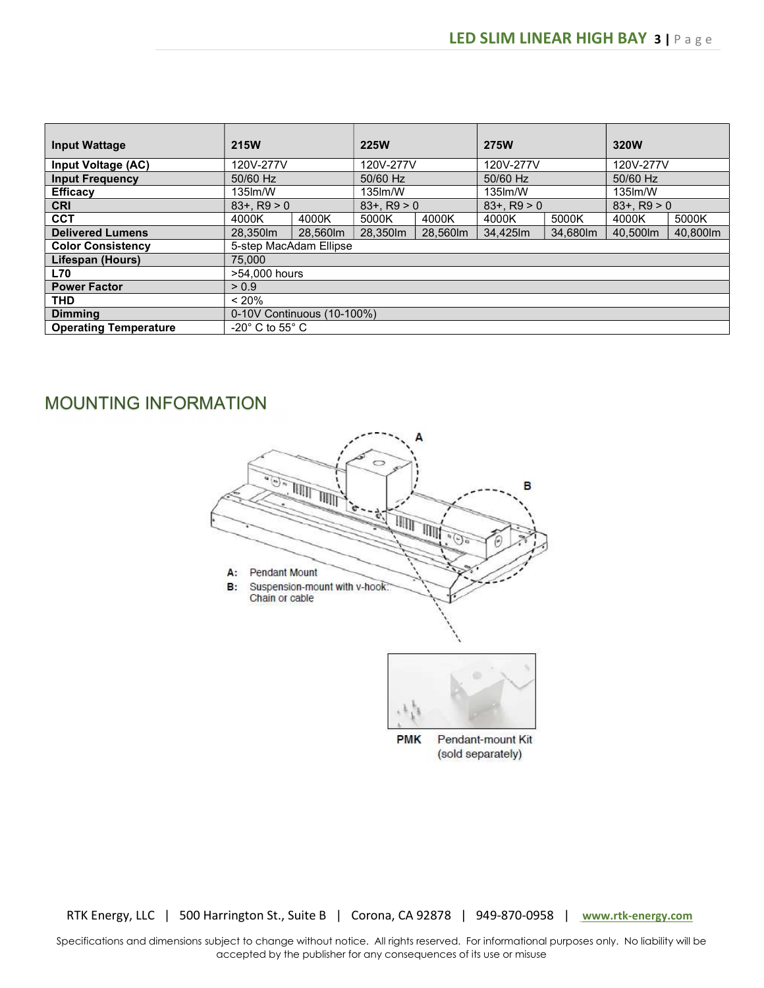| <b>Input Wattage</b>         | <b>215W</b>                        |                            | <b>225W</b>     |          | <b>275W</b>     |          | 320W          |          |
|------------------------------|------------------------------------|----------------------------|-----------------|----------|-----------------|----------|---------------|----------|
| Input Voltage (AC)           | 120V-277V                          |                            | 120V-277V       |          | 120V-277V       |          | 120V-277V     |          |
| <b>Input Frequency</b>       | 50/60 Hz                           |                            | 50/60 Hz        |          | 50/60 Hz        |          | 50/60 Hz      |          |
| <b>Efficacy</b>              | $135$ lm/W                         |                            | 135lm/W         |          | 135lm/W         |          | 135 lm/W      |          |
| <b>CRI</b>                   | $83 + R9 > 0$                      |                            | $83 + . R9 > 0$ |          | $83 + . R9 > 0$ |          | $83 + R9 > 0$ |          |
| <b>CCT</b>                   | 4000K                              | 4000K                      | 5000K           | 4000K    | 4000K           | 5000K    | 4000K         | 5000K    |
| <b>Delivered Lumens</b>      | 28.350lm                           | 28.560lm                   | 28.350lm        | 28.560lm | 34.425lm        | 34.680lm | 40.500lm      | 40.800lm |
| <b>Color Consistency</b>     |                                    | 5-step MacAdam Ellipse     |                 |          |                 |          |               |          |
| Lifespan (Hours)             | 75,000                             |                            |                 |          |                 |          |               |          |
| <b>L70</b>                   | >54,000 hours                      |                            |                 |          |                 |          |               |          |
| <b>Power Factor</b>          | > 0.9                              |                            |                 |          |                 |          |               |          |
| <b>THD</b>                   | < 20%                              |                            |                 |          |                 |          |               |          |
| <b>Dimming</b>               |                                    | 0-10V Continuous (10-100%) |                 |          |                 |          |               |          |
| <b>Operating Temperature</b> | $-20^{\circ}$ C to 55 $^{\circ}$ C |                            |                 |          |                 |          |               |          |

# MOUNTING INFORMATION



RTK Energy, LLC | 500 Harrington St., Suite B | Corona, CA 92878 | 949-870-0958 | www.rtk-energy.com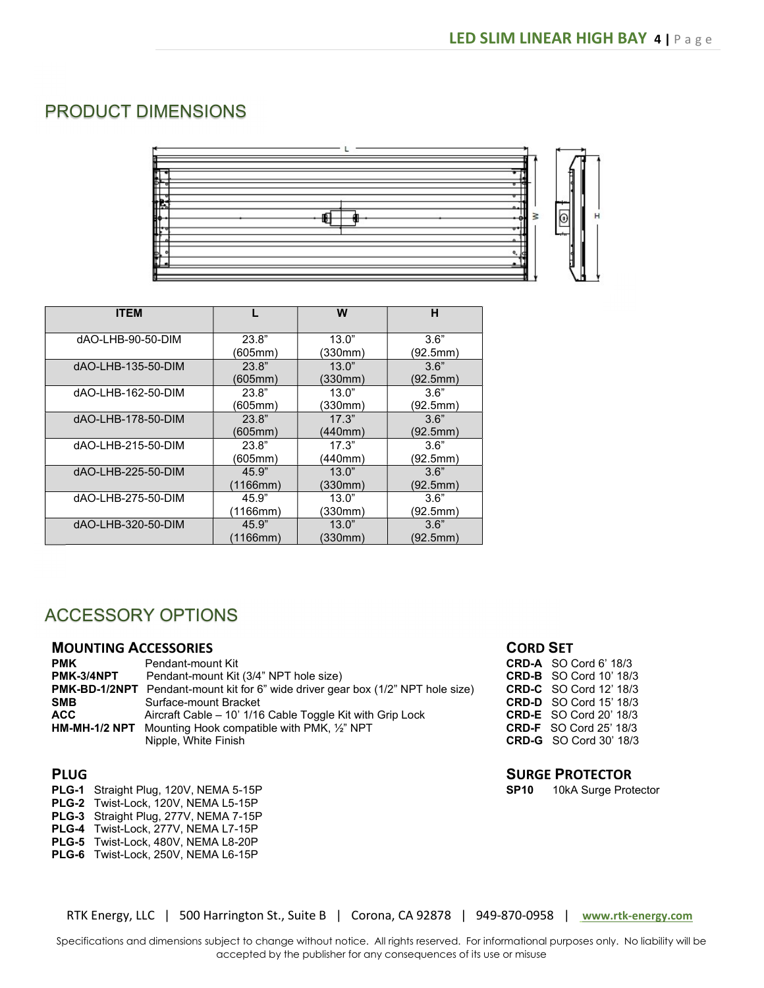# PRODUCT DIMENSIONS



| <b>ITEM</b>        |          | W       | н        |
|--------------------|----------|---------|----------|
| dAO-LHB-90-50-DIM  | 23.8"    | 13.0"   | 3.6"     |
|                    | (605mm)  | (330mm) | (92.5mm) |
| dAO-LHB-135-50-DIM | 23.8"    | 13.0"   | 3.6"     |
|                    | (605mm)  | (330mm) | (92.5mm) |
| dAO-LHB-162-50-DIM | 23.8"    | 13.0"   | 3.6"     |
|                    | (605mm)  | (330mm) | (92.5mm) |
| dAO-LHB-178-50-DIM | 23.8"    | 17.3"   | 3.6"     |
|                    | (605mm)  | (440mm) | (92.5mm) |
| dAO-LHB-215-50-DIM | 23.8"    | 17.3"   | 3.6"     |
|                    | (605mm)  | (440mm) | (92.5mm) |
| dAO-LHB-225-50-DIM | 45.9"    | 13.0"   | 3.6"     |
|                    | 1166mm)  | (330mm) | (92.5mm) |
| dAO-LHB-275-50-DIM | 45.9"    | 13.0"   | 3.6"     |
|                    | 1166mm)  | (330mm) | (92.5mm) |
| dAO-LHB-320-50-DIM | 45.9"    | 13.0"   | 3.6"     |
|                    | (1166mm) | (330mm) | (92.5mm  |

## ACCESSORY OPTIONS

### MOUNTING ACCESSORIES

| <b>PMK</b> | Pendant-mount Kit                                                                       |
|------------|-----------------------------------------------------------------------------------------|
| PMK-3/4NPT | Pendant-mount Kit (3/4" NPT hole size)                                                  |
|            | <b>PMK-BD-1/2NPT</b> Pendant-mount kit for 6" wide driver gear box (1/2" NPT hole size) |
| <b>SMB</b> | Surface-mount Bracket                                                                   |
| <b>ACC</b> | Aircraft Cable – 10' 1/16 Cable Toggle Kit with Grip Lock                               |
|            | <b>HM-MH-1/2 NPT</b> Mounting Hook compatible with PMK, $\frac{1}{2}$ NPT               |
|            | Nipple, White Finish                                                                    |

### PLUG

- PLG-1 Straight Plug, 120V, NEMA 5-15P
- PLG-2 Twist-Lock, 120V, NEMA L5-15P
- PLG-3 Straight Plug, 277V, NEMA 7-15P
- PLG-4 Twist-Lock, 277V, NEMA L7-15P
- PLG-5 Twist-Lock, 480V, NEMA L8-20P
- PLG-6 Twist-Lock, 250V, NEMA L6-15P

### CORD SET

CRD-A SO Cord 6' 18/3 CRD-B SO Cord 10' 18/3 CRD-C SO Cord 12' 18/3 CRD-D SO Cord 15' 18/3 CRD-E SO Cord 20' 18/3 CRD-F SO Cord 25' 18/3 CRD-G SO Cord 30' 18/3

### SURGE PROTECTOR

SP10 10kA Surge Protector

RTK Energy, LLC | 500 Harrington St., Suite B | Corona, CA 92878 | 949-870-0958 | www.rtk-energy.com